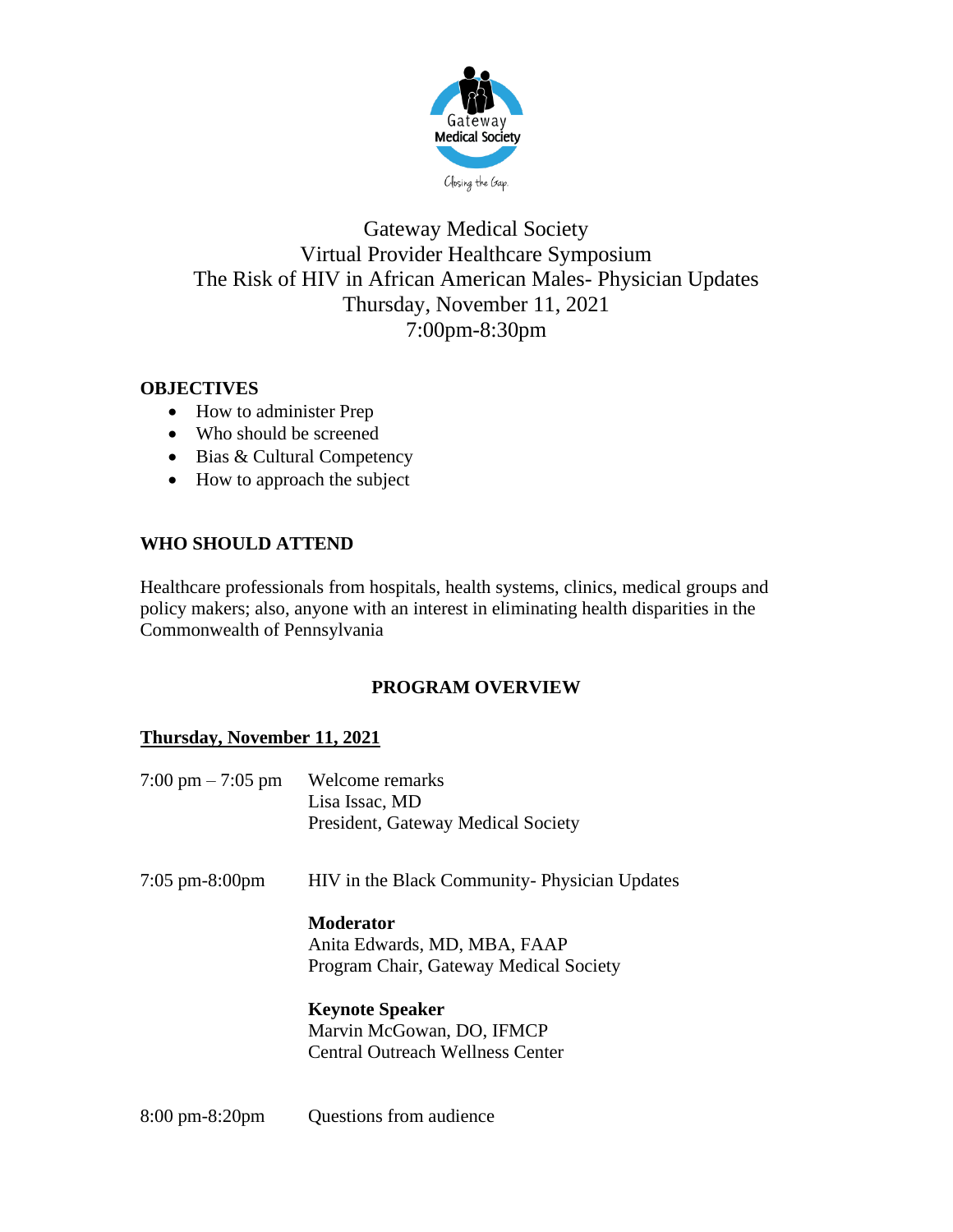

## Gateway Medical Society Virtual Provider Healthcare Symposium The Risk of HIV in African American Males- Physician Updates Thursday, November 11, 2021 7:00pm-8:30pm

#### **OBJECTIVES**

- How to administer Prep
- Who should be screened
- Bias & Cultural Competency
- How to approach the subject

#### **WHO SHOULD ATTEND**

Healthcare professionals from hospitals, health systems, clinics, medical groups and policy makers; also, anyone with an interest in eliminating health disparities in the Commonwealth of Pennsylvania

#### **PROGRAM OVERVIEW**

#### **Thursday, November 11, 2021**

| $7:00 \text{ pm} - 7:05 \text{ pm}$ | Welcome remarks<br>Lisa Issac, MD<br>President, Gateway Medical Society                    |
|-------------------------------------|--------------------------------------------------------------------------------------------|
| $7:05 \text{ pm-}8:00 \text{pm}$    | HIV in the Black Community-Physician Updates                                               |
|                                     | <b>Moderator</b><br>Anita Edwards, MD, MBA, FAAP<br>Program Chair, Gateway Medical Society |
|                                     | <b>Keynote Speaker</b><br>Marvin McGowan, DO, IFMCP<br>Central Outreach Wellness Center    |

8:00 pm-8:20pm Questions from audience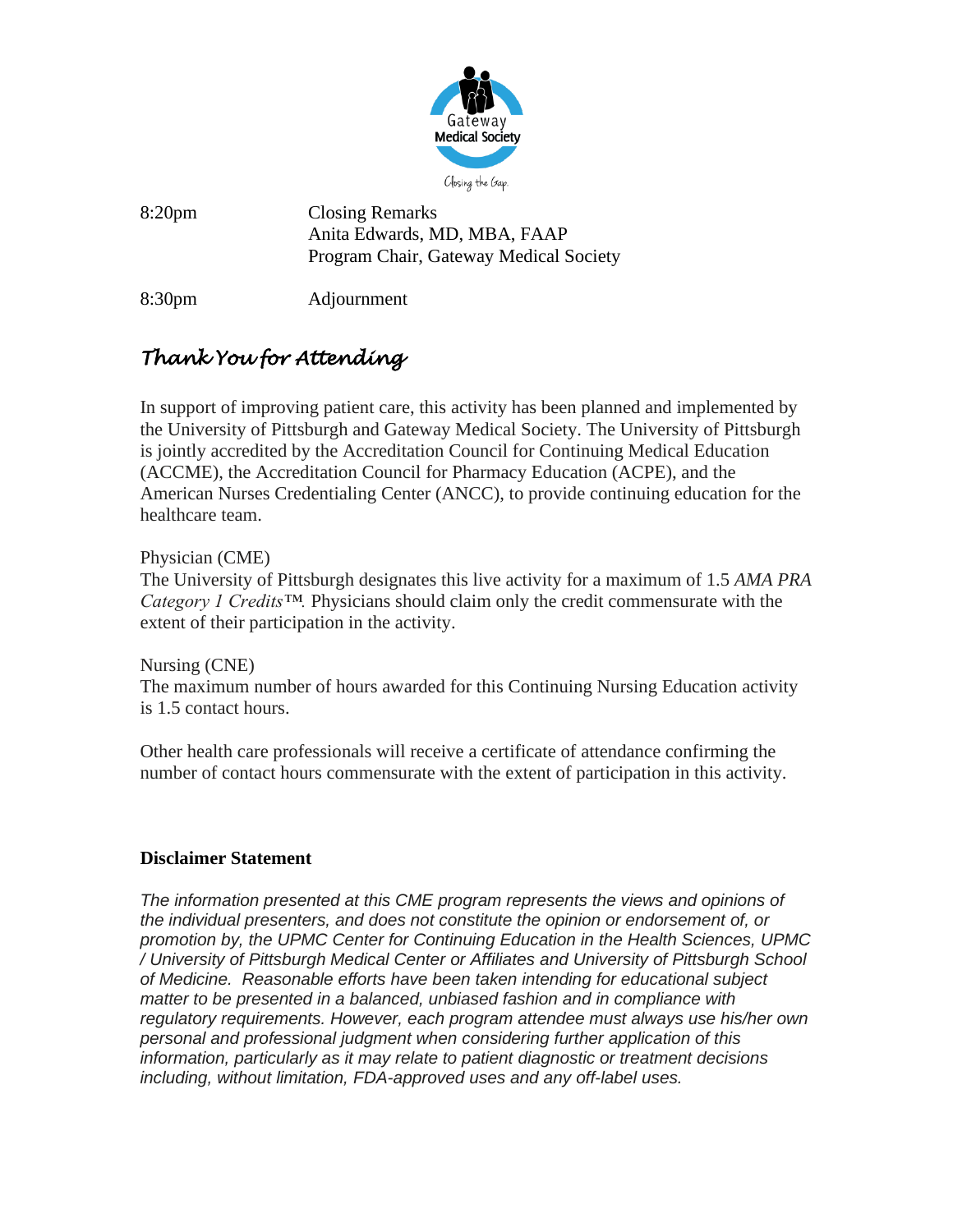

8:20pm Closing Remarks Anita Edwards, MD, MBA, FAAP Program Chair, Gateway Medical Society

8:30pm Adjournment

# *Thank You for Attending*

In support of improving patient care, this activity has been planned and implemented by the University of Pittsburgh and Gateway Medical Society. The University of Pittsburgh is jointly accredited by the Accreditation Council for Continuing Medical Education (ACCME), the Accreditation Council for Pharmacy Education (ACPE), and the American Nurses Credentialing Center (ANCC), to provide continuing education for the healthcare team.

Physician (CME)

The University of Pittsburgh designates this live activity for a maximum of 1.5 *AMA PRA Category 1 Credits™.* Physicians should claim only the credit commensurate with the extent of their participation in the activity.

Nursing (CNE) The maximum number of hours awarded for this Continuing Nursing Education activity is 1.5 contact hours.

Other health care professionals will receive a certificate of attendance confirming the number of contact hours commensurate with the extent of participation in this activity.

#### **Disclaimer Statement**

*The information presented at this CME program represents the views and opinions of the individual presenters, and does not constitute the opinion or endorsement of, or promotion by, the UPMC Center for Continuing Education in the Health Sciences, UPMC / University of Pittsburgh Medical Center or Affiliates and University of Pittsburgh School of Medicine. Reasonable efforts have been taken intending for educational subject matter to be presented in a balanced, unbiased fashion and in compliance with regulatory requirements. However, each program attendee must always use his/her own personal and professional judgment when considering further application of this information, particularly as it may relate to patient diagnostic or treatment decisions including, without limitation, FDA-approved uses and any off-label uses.*